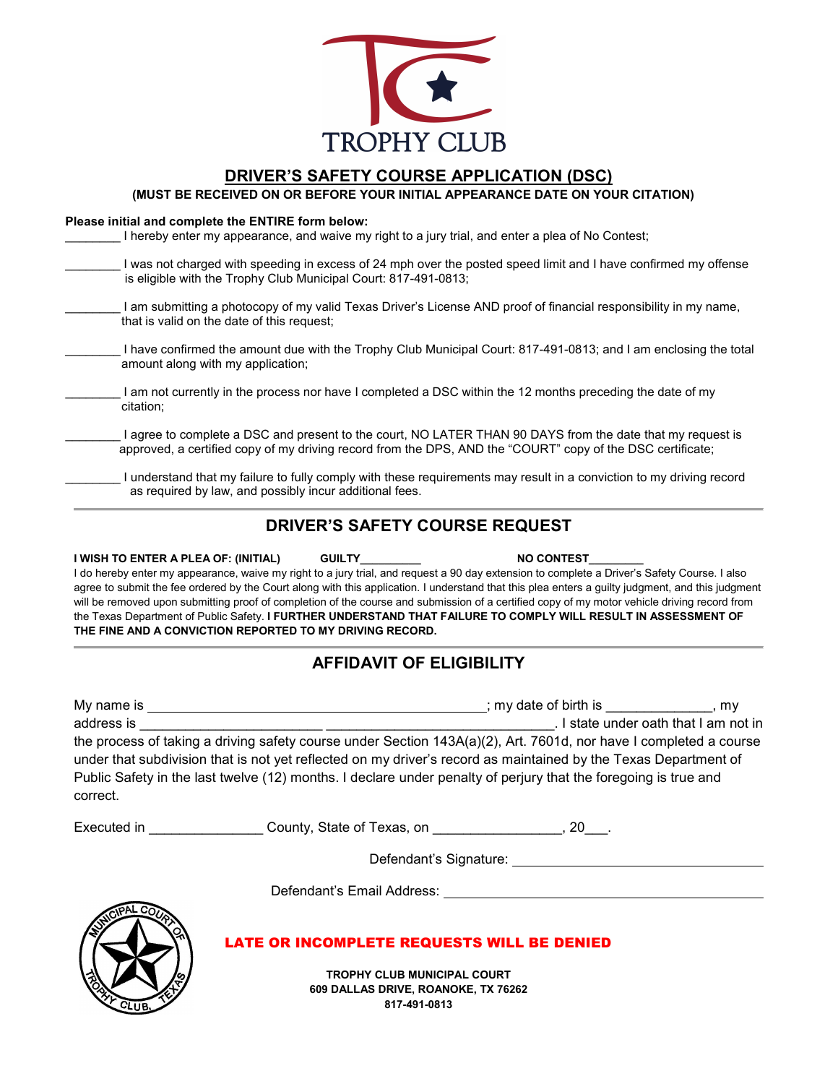

## **DRIVER'S SAFETY COURSE APPLICATION (DSC)**

**(MUST BE RECEIVED ON OR BEFORE YOUR INITIAL APPEARANCE DATE ON YOUR CITATION)** 

#### **Please initial and complete the ENTIRE form below:**

| I hereby enter my appearance, and waive my right to a jury trial, and enter a plea of No Contest;                                                                                                                        |
|--------------------------------------------------------------------------------------------------------------------------------------------------------------------------------------------------------------------------|
| I was not charged with speeding in excess of 24 mph over the posted speed limit and I have confirmed my offense<br>is eligible with the Trophy Club Municipal Court: 817-491-0813;                                       |
| I am submitting a photocopy of my valid Texas Driver's License AND proof of financial responsibility in my name,<br>that is valid on the date of this request;                                                           |
| I have confirmed the amount due with the Trophy Club Municipal Court: 817-491-0813; and I am enclosing the total<br>amount along with my application;                                                                    |
| am not currently in the process nor have I completed a DSC within the 12 months preceding the date of my<br>citation:                                                                                                    |
| I agree to complete a DSC and present to the court, NO LATER THAN 90 DAYS from the date that my request is<br>approved, a certified copy of my driving record from the DPS, AND the "COURT" copy of the DSC certificate; |

\_\_\_\_\_\_\_\_ I understand that my failure to fully comply with these requirements may result in a conviction to my driving record as required by law, and possibly incur additional fees.

### **DRIVER'S SAFETY COURSE REQUEST**

**I WISH TO ENTER A PLEA OF: (INITIAL) GUILTY\_\_\_\_\_\_\_\_\_\_ NO CONTEST\_\_\_\_\_\_\_\_\_** I do hereby enter my appearance, waive my right to a jury trial, and request a 90 day extension to complete a Driver's Safety Course. I also agree to submit the fee ordered by the Court along with this application. I understand that this plea enters a guilty judgment, and this judgment will be removed upon submitting proof of completion of the course and submission of a certified copy of my motor vehicle driving record from the Texas Department of Public Safety. **I FURTHER UNDERSTAND THAT FAILURE TO COMPLY WILL RESULT IN ASSESSMENT OF THE FINE AND A CONVICTION REPORTED TO MY DRIVING RECORD.**

## **AFFIDAVIT OF ELIGIBILITY**

| My name is | ; my date of birth is $\hspace{0.1em}$                                                                                                                                                                                                                                                                                                                  | . mv |
|------------|---------------------------------------------------------------------------------------------------------------------------------------------------------------------------------------------------------------------------------------------------------------------------------------------------------------------------------------------------------|------|
| address is | . I state under oath that I am not in                                                                                                                                                                                                                                                                                                                   |      |
| correct.   | the process of taking a driving safety course under Section 143A(a)(2), Art. 7601d, nor have I completed a course<br>under that subdivision that is not yet reflected on my driver's record as maintained by the Texas Department of<br>Public Safety in the last twelve (12) months. I declare under penalty of perjury that the foregoing is true and |      |

| Executed in | County, State of Texas, on |  |
|-------------|----------------------------|--|
|-------------|----------------------------|--|

Defendant's Signature:

Defendant's Email Address:



#### LATE OR INCOMPLETE REQUESTS WILL BE DENIED

**TROPHY CLUB MUNICIPAL COURT 609 DALLAS DRIVE, ROANOKE, TX 76262 817-491-0813**